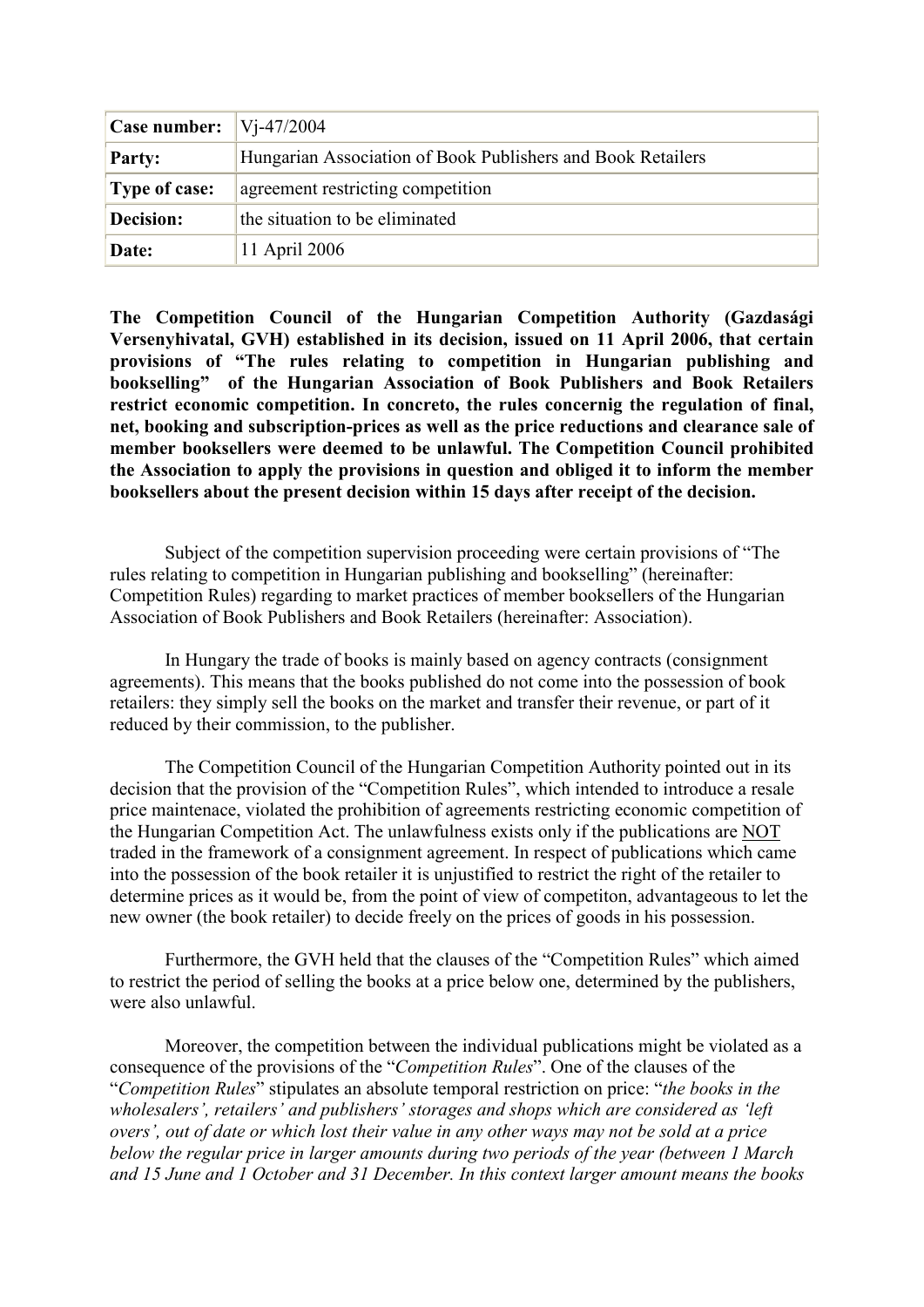| Case number:         | $Vi-47/2004$                                                |
|----------------------|-------------------------------------------------------------|
| <b>Party:</b>        | Hungarian Association of Book Publishers and Book Retailers |
| <b>Type of case:</b> | agreement restricting competition                           |
| Decision:            | the situation to be eliminated                              |
| Date:                | 11 April 2006                                               |

**The Competition Council of the Hungarian Competition Authority (Gazdasági Versenyhivatal, GVH) established in its decision, issued on 11 April 2006, that certain provisions of "The rules relating to competition in Hungarian publishing and bookselling" of the Hungarian Association of Book Publishers and Book Retailers restrict economic competition. In concreto, the rules concernig the regulation of final, net, booking and subscription-prices as well as the price reductions and clearance sale of member booksellers were deemed to be unlawful. The Competition Council prohibited the Association to apply the provisions in question and obliged it to inform the member booksellers about the present decision within 15 days after receipt of the decision.** 

Subject of the competition supervision proceeding were certain provisions of "The rules relating to competition in Hungarian publishing and bookselling" (hereinafter: Competition Rules) regarding to market practices of member booksellers of the Hungarian Association of Book Publishers and Book Retailers (hereinafter: Association).

In Hungary the trade of books is mainly based on agency contracts (consignment agreements). This means that the books published do not come into the possession of book retailers: they simply sell the books on the market and transfer their revenue, or part of it reduced by their commission, to the publisher.

The Competition Council of the Hungarian Competition Authority pointed out in its decision that the provision of the "Competition Rules", which intended to introduce a resale price maintenace, violated the prohibition of agreements restricting economic competition of the Hungarian Competition Act. The unlawfulness exists only if the publications are NOT traded in the framework of a consignment agreement. In respect of publications which came into the possession of the book retailer it is unjustified to restrict the right of the retailer to determine prices as it would be, from the point of view of competiton, advantageous to let the new owner (the book retailer) to decide freely on the prices of goods in his possession.

Furthermore, the GVH held that the clauses of the "Competition Rules" which aimed to restrict the period of selling the books at a price below one, determined by the publishers, were also unlawful.

Moreover, the competition between the individual publications might be violated as a consequence of the provisions of the "*Competition Rules*". One of the clauses of the "*Competition Rules*" stipulates an absolute temporal restriction on price: "*the books in the wholesalers', retailers' and publishers' storages and shops which are considered as 'left overs', out of date or which lost their value in any other ways may not be sold at a price below the regular price in larger amounts during two periods of the year (between 1 March and 15 June and 1 October and 31 December. In this context larger amount means the books*